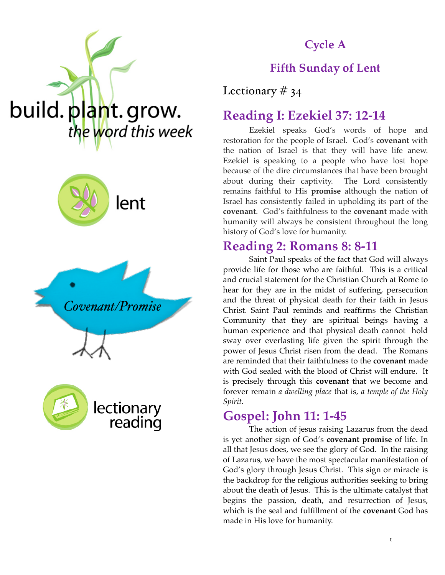## **Cycle A**

### **Fifth Sunday of Lent**

Lectionary  $\#$  34

### **Reading I: Ezekiel 37: 12-14**

Ezekiel speaks God's words of hope and restoration for the people of Israel. God's **covenant** with the nation of Israel is that they will have life anew. Ezekiel is speaking to a people who have lost hope because of the dire circumstances that have been brought about during their captivity. The Lord consistently remains faithful to His **promise** although the nation of Israel has consistently failed in upholding its part of the **covenant**. God's faithfulness to the **covenant** made with humanity will always be consistent throughout the long history of God's love for humanity.

#### **Reading 2: Romans 8: 8-11**

Saint Paul speaks of the fact that God will always provide life for those who are faithful. This is a critical and crucial statement for the Christian Church at Rome to hear for they are in the midst of suffering, persecution and the threat of physical death for their faith in Jesus Christ. Saint Paul reminds and reaffirms the Christian Community that they are spiritual beings having a human experience and that physical death cannot hold sway over everlasting life given the spirit through the power of Jesus Christ risen from the dead. The Romans are reminded that their faithfulness to the **covenant** made with God sealed with the blood of Christ will endure. It is precisely through this **covenant** that we become and forever remain *a dwelling place* that is, *a temple of the Holy Spirit.*

### **Gospel: John 11: 1-45**

The action of jesus raising Lazarus from the dead is yet another sign of God's **covenant promise** of life. In all that Jesus does, we see the glory of God. In the raising of Lazarus, we have the most spectacular manifestation of God's glory through Jesus Christ. This sign or miracle is the backdrop for the religious authorities seeking to bring about the death of Jesus. This is the ultimate catalyst that begins the passion, death, and resurrection of Jesus, which is the seal and fulfillment of the **covenant** God has made in His love for humanity.







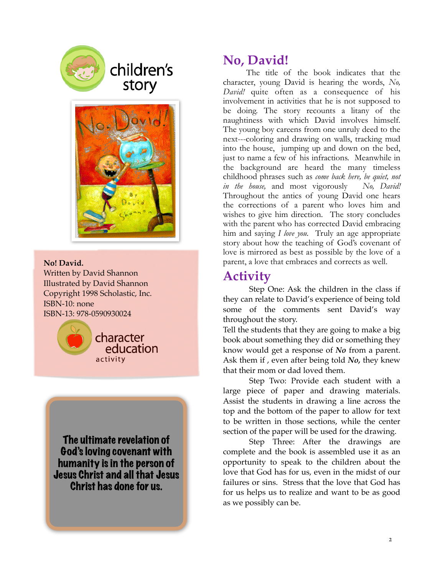

# children's story



**No! David.** Written by David Shannon Illustrated by David Shannon Copyright 1998 Scholastic, Inc. ISBN-10: none ISBN-13: 978-0590930024



The ultimate revelation of God's loving covenant with humanity is in the person of Jesus Christ and all that Jesus Christ has done for us.

## **No, David!**

 The title of the book indicates that the character, young David is hearing the words, *No, David!* quite often as a consequence of his involvement in activities that he is not supposed to be doing. The story recounts a litany of the naughtiness with which David involves himself. The young boy careens from one unruly deed to the next---coloring and drawing on walls, tracking mud into the house, jumping up and down on the bed, just to name a few of his infractions. Meanwhile in the background are heard the many timeless childhood phrases such as *come back here, be quiet, not in the house,* and most vigorously *No, David!*  Throughout the antics of young David one hears the corrections of a parent who loves him and wishes to give him direction. The story concludes with the parent who has corrected David embracing him and saying *I love you.* Truly an age appropriate story about how the teaching of God's covenant of love is mirrored as best as possible by the love of a parent, a love that embraces and corrects as well.

# **Activity**

Step One: Ask the children in the class if they can relate to David's experience of being told some of the comments sent David's way throughout the story.

Tell the students that they are going to make a big book about something they did or something they know would get a response of *No* from a parent. Ask them if , even after being told *No,* they knew that their mom or dad loved them.

Step Two: Provide each student with a large piece of paper and drawing materials. Assist the students in drawing a line across the top and the bottom of the paper to allow for text to be written in those sections, while the center section of the paper will be used for the drawing.

Step Three: After the drawings are complete and the book is assembled use it as an opportunity to speak to the children about the love that God has for us, even in the midst of our failures or sins. Stress that the love that God has for us helps us to realize and want to be as good as we possibly can be.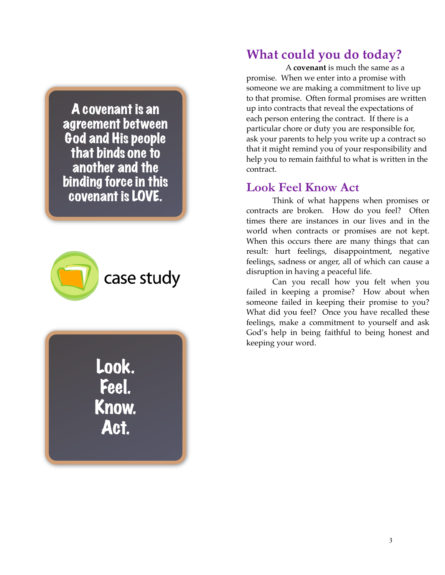A covenant is an agreement between God and His people that binds one to another and the binding force in this covenant is LOVE.





## **What could you do today?**

A **covenant** is much the same as a promise. When we enter into a promise with someone we are making a commitment to live up to that promise. Often formal promises are written up into contracts that reveal the expectations of each person entering the contract. If there is a particular chore or duty you are responsible for, ask your parents to help you write up a contract so that it might remind you of your responsibility and help you to remain faithful to what is written in the contract.

#### **Look Feel Know Act**

 Think of what happens when promises or contracts are broken. How do you feel? Often times there are instances in our lives and in the world when contracts or promises are not kept. When this occurs there are many things that can result: hurt feelings, disappointment, negative feelings, sadness or anger, all of which can cause a disruption in having a peaceful life.

Can you recall how you felt when you failed in keeping a promise? How about when someone failed in keeping their promise to you? What did you feel? Once you have recalled these feelings, make a commitment to yourself and ask God's help in being faithful to being honest and keeping your word.